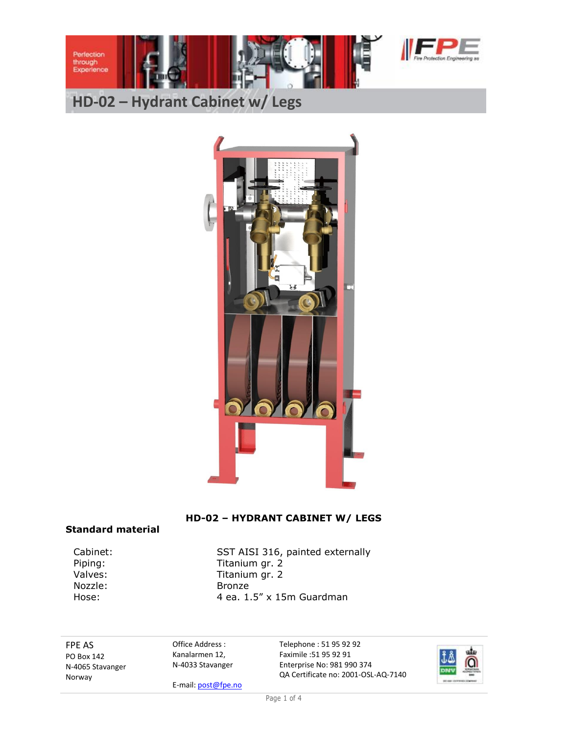

# **HD-02 – Hydrant Cabinet w/ Legs**



### **HD-02 – HYDRANT CABINET W/ LEGS**

#### **Standard material**

Nozzle: Bronze

Cabinet: SST AISI 316, painted externally Piping: Titanium gr. 2 Valves: Titanium gr. 2 Hose: 4 ea. 1.5" x 15m Guardman

FPE AS PO Box 142 N-4065 Stavanger Norway

Office Address : Kanalarmen 12, N-4033 Stavanger

E-mail[: post@fpe.no](mailto:post@fpe.no)

Telephone : 51 95 92 92 Faximile :51 95 92 91 Enterprise No: 981 990 374 QA Certificate no: 2001-OSL-AQ-7140

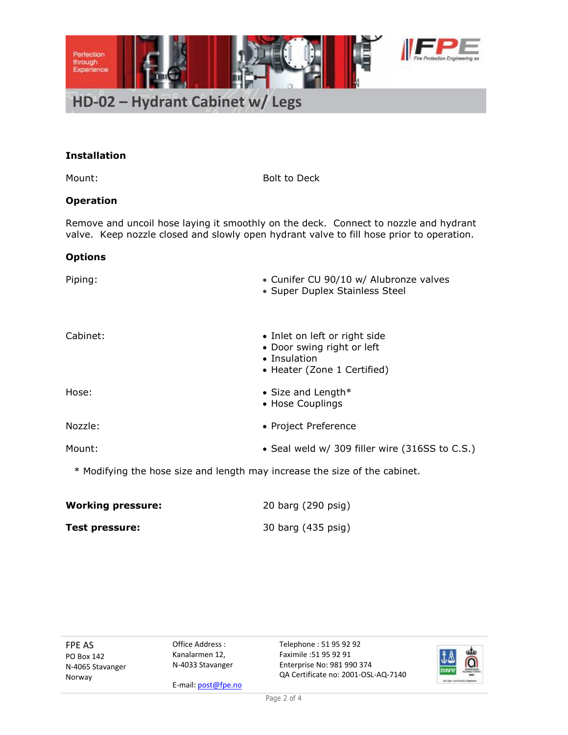

#### **Installation**

Mount: Bolt to Deck

#### **Operation**

Remove and uncoil hose laying it smoothly on the deck. Connect to nozzle and hydrant valve. Keep nozzle closed and slowly open hydrant valve to fill hose prior to operation.

#### **Options**

| Piping:  | • Cunifer CU 90/10 w/ Alubronze valves<br>• Super Duplex Stainless Steel                                   |
|----------|------------------------------------------------------------------------------------------------------------|
| Cabinet: | • Inlet on left or right side<br>• Door swing right or left<br>• Insulation<br>• Heater (Zone 1 Certified) |
| Hose:    | • Size and Length $*$<br>• Hose Couplings                                                                  |
| Nozzle:  | • Project Preference                                                                                       |
| Mount:   | • Seal weld w/ 309 filler wire (316SS to C.S.)                                                             |
|          | * Modifying the hose size and length may increase the size of the cabinet.                                 |

| <b>Working pressure:</b> | 20 barg (290 psig) |
|--------------------------|--------------------|
| <b>Test pressure:</b>    | 30 barg (435 psig) |

FPE AS PO Box 142 N-4065 Stavanger Norway

Office Address : Kanalarmen 12, N-4033 Stavanger

E-mail[: post@fpe.no](mailto:post@fpe.no)

Telephone : 51 95 92 92 Faximile :51 95 92 91 Enterprise No: 981 990 374 QA Certificate no: 2001-OSL-AQ-7140

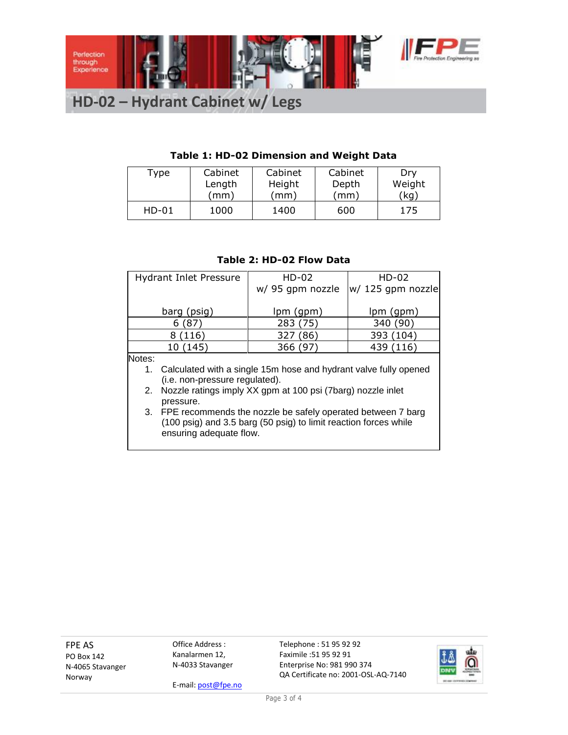

## **HD-02 – Hydrant Cabinet w/ Legs**

## **Table 1: HD-02 Dimension and Weight Data**

| Type    | Cabinet | Cabinet | Cabinet | Dry    |
|---------|---------|---------|---------|--------|
|         | Length  | Height  | Depth   | Weight |
|         | (mm)    | mm)     | (mm)    | (kg)   |
| $HD-01$ | 1000    | 1400    | 600     | 175    |

#### **Table 2: HD-02 Flow Data**

| <b>Hydrant Inlet Pressure</b>                                       | $HD-02$                                                        | $HD-02$           |  |  |  |
|---------------------------------------------------------------------|----------------------------------------------------------------|-------------------|--|--|--|
|                                                                     | w/ 95 gpm nozzle                                               | w/ 125 gpm nozzle |  |  |  |
|                                                                     |                                                                |                   |  |  |  |
| barg (psig)                                                         | $lpm($ gpm $)$                                                 | lpm (gpm)         |  |  |  |
| (87)<br>6                                                           | 283 (75)                                                       | 340 (90)          |  |  |  |
| 8 (116)                                                             | 327 (86)                                                       | 393 (104)         |  |  |  |
| 10 (145)                                                            | 366 (97)                                                       | 439 (116)         |  |  |  |
| Notes:                                                              |                                                                |                   |  |  |  |
| 1. Calculated with a single 15m hose and hydrant valve fully opened |                                                                |                   |  |  |  |
|                                                                     | (i.e. non-pressure regulated).                                 |                   |  |  |  |
|                                                                     | 2. Nozzle ratings imply XX gpm at 100 psi (7barg) nozzle inlet |                   |  |  |  |
| pressure.                                                           |                                                                |                   |  |  |  |
| 3. FPE recommends the nozzle be safely operated between 7 barg      |                                                                |                   |  |  |  |
| (100 psig) and 3.5 barg (50 psig) to limit reaction forces while    |                                                                |                   |  |  |  |
| ensuring adequate flow.                                             |                                                                |                   |  |  |  |

FPE AS PO Box 142 N-4065 Stavanger Norway

Office Address : Kanalarmen 12, N-4033 Stavanger

E-mail[: post@fpe.no](mailto:post@fpe.no)

Telephone : 51 95 92 92 Faximile :51 95 92 91 Enterprise No: 981 990 374 QA Certificate no: 2001-OSL-AQ-7140